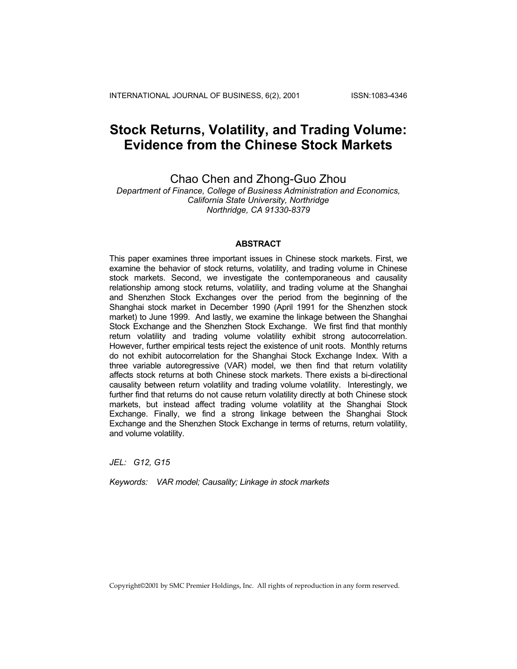INTERNATIONAL JOURNAL OF BUSINESS, 6(2), 2001 ISSN:1083-4346

# **Stock Returns, Volatility, and Trading Volume: Evidence from the Chinese Stock Markets**

Chao Chen and Zhong-Guo Zhou

*Department of Finance, College of Business Administration and Economics, California State University, Northridge Northridge, CA 91330-8379* 

# **ABSTRACT**

This paper examines three important issues in Chinese stock markets. First, we examine the behavior of stock returns, volatility, and trading volume in Chinese stock markets. Second, we investigate the contemporaneous and causality relationship among stock returns, volatility, and trading volume at the Shanghai and Shenzhen Stock Exchanges over the period from the beginning of the Shanghai stock market in December 1990 (April 1991 for the Shenzhen stock market) to June 1999. And lastly, we examine the linkage between the Shanghai Stock Exchange and the Shenzhen Stock Exchange. We first find that monthly return volatility and trading volume volatility exhibit strong autocorrelation. However, further empirical tests reject the existence of unit roots. Monthly returns do not exhibit autocorrelation for the Shanghai Stock Exchange Index. With a three variable autoregressive (VAR) model, we then find that return volatility affects stock returns at both Chinese stock markets. There exists a bi-directional causality between return volatility and trading volume volatility. Interestingly, we further find that returns do not cause return volatility directly at both Chinese stock markets, but instead affect trading volume volatility at the Shanghai Stock Exchange. Finally, we find a strong linkage between the Shanghai Stock Exchange and the Shenzhen Stock Exchange in terms of returns, return volatility, and volume volatility.

*JEL: G12, G15* 

*Keywords: VAR model; Causality; Linkage in stock markets* 

Copyright©2001 by SMC Premier Holdings, Inc. All rights of reproduction in any form reserved.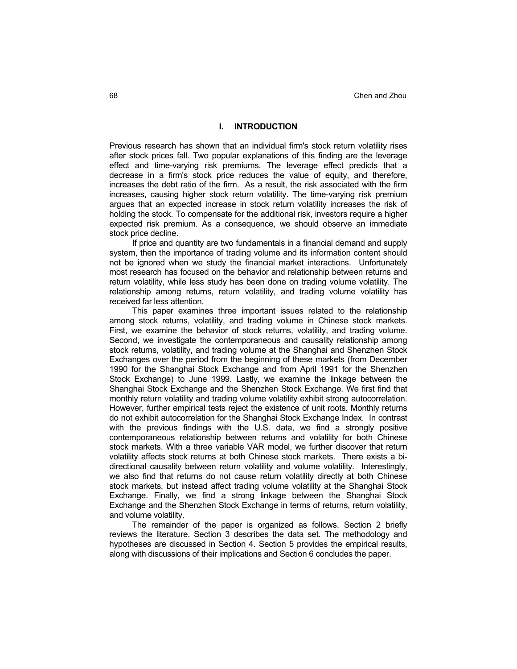# **I. INTRODUCTION**

Previous research has shown that an individual firm's stock return volatility rises after stock prices fall. Two popular explanations of this finding are the leverage effect and time-varying risk premiums. The leverage effect predicts that a decrease in a firm's stock price reduces the value of equity, and therefore, increases the debt ratio of the firm. As a result, the risk associated with the firm increases, causing higher stock return volatility. The time-varying risk premium argues that an expected increase in stock return volatility increases the risk of holding the stock. To compensate for the additional risk, investors require a higher expected risk premium. As a consequence, we should observe an immediate stock price decline.

If price and quantity are two fundamentals in a financial demand and supply system, then the importance of trading volume and its information content should not be ignored when we study the financial market interactions. Unfortunately most research has focused on the behavior and relationship between returns and return volatility, while less study has been done on trading volume volatility. The relationship among returns, return volatility, and trading volume volatility has received far less attention.

This paper examines three important issues related to the relationship among stock returns, volatility, and trading volume in Chinese stock markets. First, we examine the behavior of stock returns, volatility, and trading volume. Second, we investigate the contemporaneous and causality relationship among stock returns, volatility, and trading volume at the Shanghai and Shenzhen Stock Exchanges over the period from the beginning of these markets (from December 1990 for the Shanghai Stock Exchange and from April 1991 for the Shenzhen Stock Exchange) to June 1999. Lastly, we examine the linkage between the Shanghai Stock Exchange and the Shenzhen Stock Exchange. We first find that monthly return volatility and trading volume volatility exhibit strong autocorrelation. However, further empirical tests reject the existence of unit roots. Monthly returns do not exhibit autocorrelation for the Shanghai Stock Exchange Index. In contrast with the previous findings with the U.S. data, we find a strongly positive contemporaneous relationship between returns and volatility for both Chinese stock markets. With a three variable VAR model, we further discover that return volatility affects stock returns at both Chinese stock markets. There exists a bidirectional causality between return volatility and volume volatility. Interestingly, we also find that returns do not cause return volatility directly at both Chinese stock markets, but instead affect trading volume volatility at the Shanghai Stock Exchange. Finally, we find a strong linkage between the Shanghai Stock Exchange and the Shenzhen Stock Exchange in terms of returns, return volatility, and volume volatility.

The remainder of the paper is organized as follows. Section 2 briefly reviews the literature. Section 3 describes the data set. The methodology and hypotheses are discussed in Section 4. Section 5 provides the empirical results, along with discussions of their implications and Section 6 concludes the paper.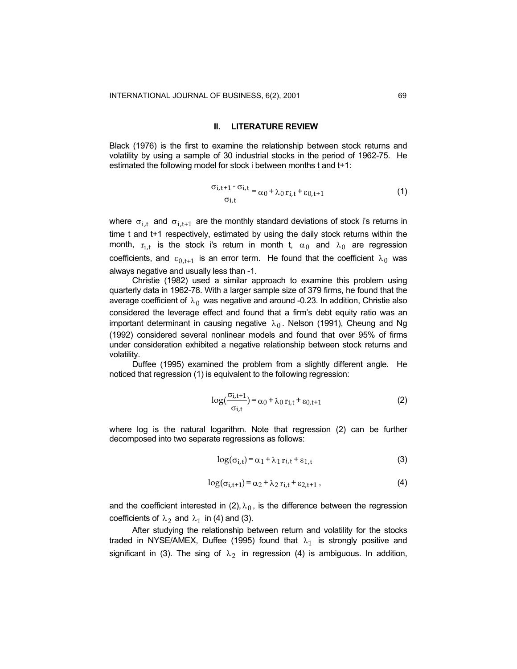#### **II. LITERATURE REVIEW**

Black (1976) is the first to examine the relationship between stock returns and volatility by using a sample of 30 industrial stocks in the period of 1962-75. He estimated the following model for stock i between months t and t+1:

$$
\frac{\sigma_{i,t+1} - \sigma_{i,t}}{\sigma_{i,t}} = \alpha_0 + \lambda_0 r_{i,t} + \varepsilon_{0,t+1}
$$
 (1)

where  $\sigma_{i,t}$  and  $\sigma_{i,t+1}$  are the monthly standard deviations of stock i's returns in time t and t+1 respectively, estimated by using the daily stock returns within the month,  $r_{i,t}$  is the stock i's return in month t,  $\alpha_0$  and  $\lambda_0$  are regression coefficients, and  $\varepsilon_{0,t+1}$  is an error term. He found that the coefficient  $\lambda_0$  was always negative and usually less than -1.

Christie (1982) used a similar approach to examine this problem using quarterly data in 1962-78. With a larger sample size of 379 firms, he found that the average coefficient of  $\lambda_0$  was negative and around -0.23. In addition, Christie also considered the leverage effect and found that a firm's debt equity ratio was an important determinant in causing negative  $\lambda_0$ . Nelson (1991), Cheung and Ng (1992) considered several nonlinear models and found that over 95% of firms under consideration exhibited a negative relationship between stock returns and volatility.

Duffee (1995) examined the problem from a slightly different angle. He noticed that regression (1) is equivalent to the following regression:

$$
\log\left(\frac{\sigma_{i,t+1}}{\sigma_{i,t}}\right) = \alpha_0 + \lambda_0 \, r_{i,t} + \varepsilon_{0,t+1} \tag{2}
$$

where log is the natural logarithm. Note that regression (2) can be further decomposed into two separate regressions as follows:

$$
\log(\sigma_{i,t}) = \alpha_1 + \lambda_1 r_{i,t} + \varepsilon_{1,t}
$$
 (3)

$$
\log(\sigma_{i,t+1}) = \alpha_2 + \lambda_2 r_{i,t} + \varepsilon_{2,t+1} \,,\tag{4}
$$

and the coefficient interested in (2),  $\lambda_0$ , is the difference between the regression coefficients of  $\lambda_2$  and  $\lambda_1$  in (4) and (3).

After studying the relationship between return and volatility for the stocks traded in NYSE/AMEX, Duffee (1995) found that  $\lambda_1$  is strongly positive and significant in (3). The sing of  $\lambda_2$  in regression (4) is ambiguous. In addition,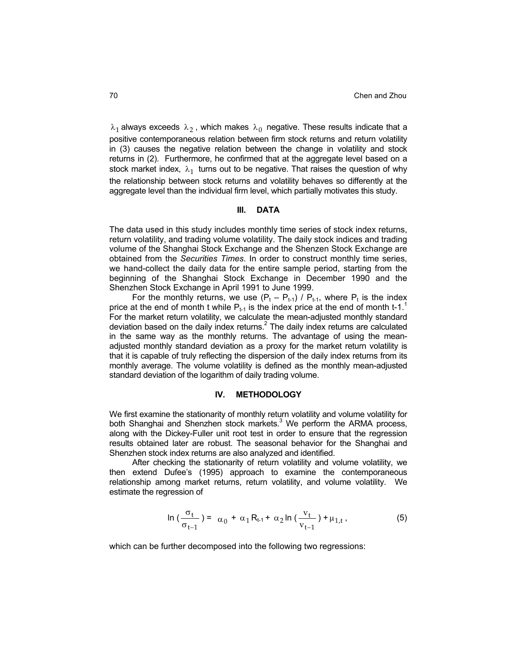$\lambda_1$  always exceeds  $\lambda_2$ , which makes  $\lambda_0$  negative. These results indicate that a positive contemporaneous relation between firm stock returns and return volatility in (3) causes the negative relation between the change in volatility and stock returns in (2). Furthermore, he confirmed that at the aggregate level based on a stock market index,  $\lambda_1$  turns out to be negative. That raises the question of why the relationship between stock returns and volatility behaves so differently at the aggregate level than the individual firm level, which partially motivates this study.

#### **III. DATA**

The data used in this study includes monthly time series of stock index returns, return volatility, and trading volume volatility. The daily stock indices and trading volume of the Shanghai Stock Exchange and the Shenzen Stock Exchange are obtained from the *Securities Times*. In order to construct monthly time series, we hand-collect the daily data for the entire sample period, starting from the beginning of the Shanghai Stock Exchange in December 1990 and the Shenzhen Stock Exchange in April 1991 to June 1999.

For the monthly returns, we use  $(P_t - P_{t-1}) / P_{t-1}$ , where  $P_t$  is the index price at the end of month t while  $P_{t-1}$  is the index price at the end of month t-1.<sup>1</sup> For the market return volatility, we calculate the mean-adjusted monthly standard deviation based on the daily index returns. $^2$  The daily index returns are calculated in the same way as the monthly returns. The advantage of using the meanadjusted monthly standard deviation as a proxy for the market return volatility is that it is capable of truly reflecting the dispersion of the daily index returns from its monthly average. The volume volatility is defined as the monthly mean-adjusted standard deviation of the logarithm of daily trading volume.

#### **IV. METHODOLOGY**

We first examine the stationarity of monthly return volatility and volume volatility for both Shanghai and Shenzhen stock markets.<sup>3</sup> We perform the ARMA process, along with the Dickey-Fuller unit root test in order to ensure that the regression results obtained later are robust. The seasonal behavior for the Shanghai and Shenzhen stock index returns are also analyzed and identified.

After checking the stationarity of return volatility and volume volatility, we then extend Dufee's (1995) approach to examine the contemporaneous relationship among market returns, return volatility, and volume volatility. We estimate the regression of

$$
\ln\left(\frac{\sigma_t}{\sigma_{t-1}}\right) = \alpha_0 + \alpha_1 R_{t-1} + \alpha_2 \ln\left(\frac{v_t}{v_{t-1}}\right) + \mu_{1,t},\tag{5}
$$

which can be further decomposed into the following two regressions: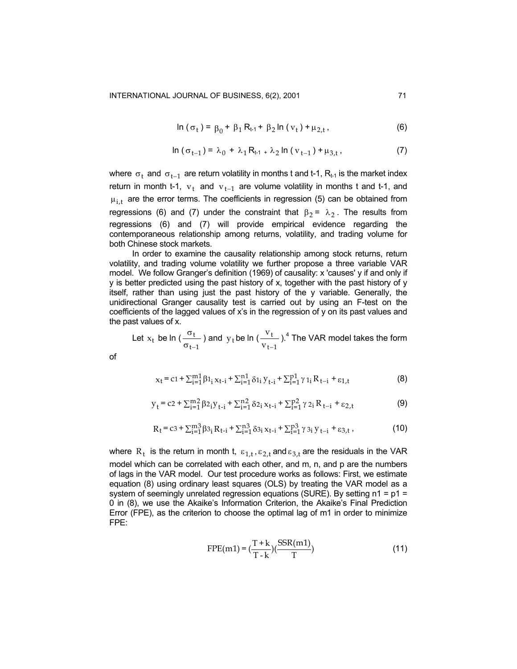$$
\ln (\sigma_t) = \beta_0 + \beta_1 R_{t-1} + \beta_2 \ln (v_t) + \mu_{2,t},
$$
 (6)

$$
\ln (\sigma_{t-1}) = \lambda_0 + \lambda_1 R_{t-1} + \lambda_2 \ln (v_{t-1}) + \mu_{3,t}, \qquad (7)
$$

where  $\sigma_t$  and  $\sigma_{t-1}$  are return volatility in months t and t-1, R<sub>t-1</sub> is the market index return in month t-1,  $v_t$  and  $v_{t-1}$  are volume volatility in months t and t-1, and  $\mu_{i,t}$  are the error terms. The coefficients in regression (5) can be obtained from regressions (6) and (7) under the constraint that  $\beta_2$  =  $\lambda_2$ . The results from regressions (6) and (7) will provide empirical evidence regarding the contemporaneous relationship among returns, volatility, and trading volume for both Chinese stock markets.

In order to examine the causality relationship among stock returns, return volatility, and trading volume volatility we further propose a three variable VAR model. We follow Granger's definition (1969) of causality: x 'causes' y if and only if y is better predicted using the past history of x, together with the past history of y itself, rather than using just the past history of the y variable. Generally, the unidirectional Granger causality test is carried out by using an F-test on the coefficients of the lagged values of x's in the regression of y on its past values and the past values of x.

Let  $x_t$  be ln ( $\frac{0 \text{ t}}{\sigma_{t-1}}$ t  $\frac{\sigma_t}{\sigma_{t-1}}$ ) and  $y_t$ be ln ( $\frac{v_t}{v_{t-1}}$ t v v −  $.4$  The VAR model takes the form

of

$$
x_{t} = c1 + \sum_{i=1}^{m1} \beta 1_{i} x_{t-i} + \sum_{i=1}^{n1} \delta 1_{i} y_{t-i} + \sum_{i=1}^{p1} \gamma 1_{i} R_{t-i} + \varepsilon_{1,t}
$$
(8)

$$
y_{t} = c2 + \sum_{i=1}^{m} \beta 2_{i} y_{t-i} + \sum_{i=1}^{n} \delta 2_{i} x_{t-i} + \sum_{i=1}^{p} \gamma 2_{i} R_{t-i} + \varepsilon 2_{,t}
$$
 (9)

$$
R_{t} = c_3 + \sum_{i=1}^{m3} \beta_{3i} R_{t-i} + \sum_{i=1}^{n3} \delta_{3i} x_{t-i} + \sum_{i=1}^{p3} \gamma_{3i} y_{t-i} + \varepsilon_{3,t},
$$
 (10)

where  $R_t$  is the return in month t,  $\varepsilon_{1,t}$ ,  $\varepsilon_{2,t}$  and  $\varepsilon_{3,t}$  are the residuals in the VAR model which can be correlated with each other, and m, n, and p are the numbers of lags in the VAR model. Our test procedure works as follows: First, we estimate equation (8) using ordinary least squares (OLS) by treating the VAR model as a system of seemingly unrelated regression equations (SURE). By setting  $n1 = p1 =$ 0 in (8), we use the Akaike's Information Criterion, the Akaike's Final Prediction Error (FPE), as the criterion to choose the optimal lag of m1 in order to minimize FPE:

$$
FPE(m1) = \left(\frac{T + k}{T - k}\right)\left(\frac{SSR(m1)}{T}\right)
$$
\n(11)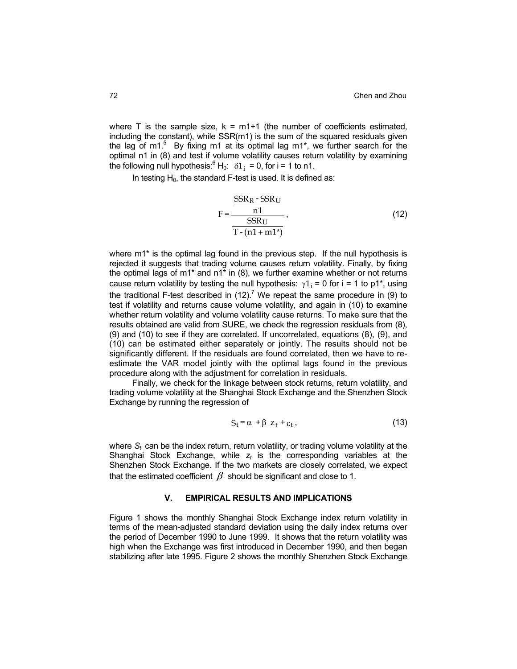where  $T$  is the sample size,  $k = m1+1$  (the number of coefficients estimated, including the constant), while SSR(m1) is the sum of the squared residuals given the lag of m1.<sup>5</sup> By fixing m1 at its optimal lag m1\*, we further search for the optimal n1 in (8) and test if volume volatility causes return volatility by examining the following null hypothesis: ${}^{6}H_{0}$ :  $\delta1_{i} = 0$ , for i = 1 to n1.

In testing  $H_0$ , the standard F-test is used. It is defined as:

$$
F = \frac{\frac{SSR_R - SSR_U}{n1}}{\frac{SSR_U}{T - (n1 + m1^*)}},
$$
\n(12)

where m1\* is the optimal lag found in the previous step. If the null hypothesis is rejected it suggests that trading volume causes return volatility. Finally, by fixing the optimal lags of m1\* and n1\* in (8), we further examine whether or not returns cause return volatility by testing the null hypothesis:  $\gamma 1_i = 0$  for i = 1 to p1<sup>\*</sup>, using the traditional F-test described in  $(12)$ .<sup>7</sup> We repeat the same procedure in (9) to test if volatility and returns cause volume volatility, and again in (10) to examine whether return volatility and volume volatility cause returns. To make sure that the results obtained are valid from SURE, we check the regression residuals from (8), (9) and (10) to see if they are correlated. If uncorrelated, equations (8), (9), and (10) can be estimated either separately or jointly. The results should not be significantly different. If the residuals are found correlated, then we have to reestimate the VAR model jointly with the optimal lags found in the previous procedure along with the adjustment for correlation in residuals.

Finally, we check for the linkage between stock returns, return volatility, and trading volume volatility at the Shanghai Stock Exchange and the Shenzhen Stock Exchange by running the regression of

$$
S_t = \alpha + \beta z_t + \varepsilon_t, \qquad (13)
$$

where  $S_t$  can be the index return, return volatility, or trading volume volatility at the Shanghai Stock Exchange, while  $z_t$  is the corresponding variables at the Shenzhen Stock Exchange. If the two markets are closely correlated, we expect that the estimated coefficient  $\beta$  should be significant and close to 1.

#### **V. EMPIRICAL RESULTS AND IMPLICATIONS**

Figure 1 shows the monthly Shanghai Stock Exchange index return volatility in terms of the mean-adjusted standard deviation using the daily index returns over the period of December 1990 to June 1999. It shows that the return volatility was high when the Exchange was first introduced in December 1990, and then began stabilizing after late 1995. Figure 2 shows the monthly Shenzhen Stock Exchange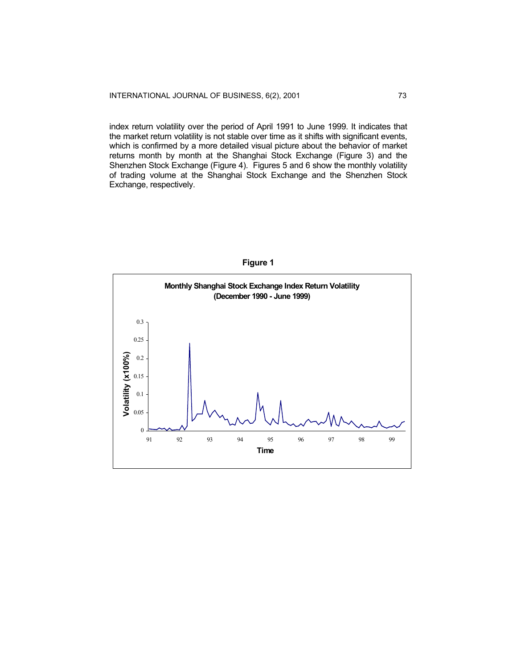index return volatility over the period of April 1991 to June 1999. It indicates that the market return volatility is not stable over time as it shifts with significant events, which is confirmed by a more detailed visual picture about the behavior of market returns month by month at the Shanghai Stock Exchange (Figure 3) and the Shenzhen Stock Exchange (Figure 4). Figures 5 and 6 show the monthly volatility of trading volume at the Shanghai Stock Exchange and the Shenzhen Stock Exchange, respectively.



**Figure 1**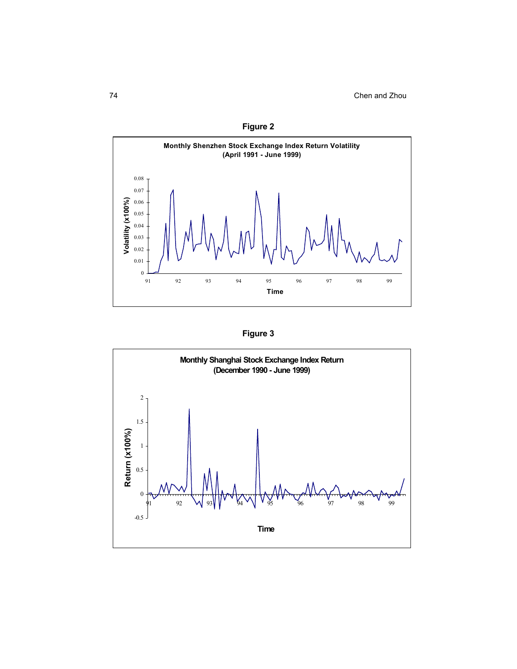



**Figure 3** 

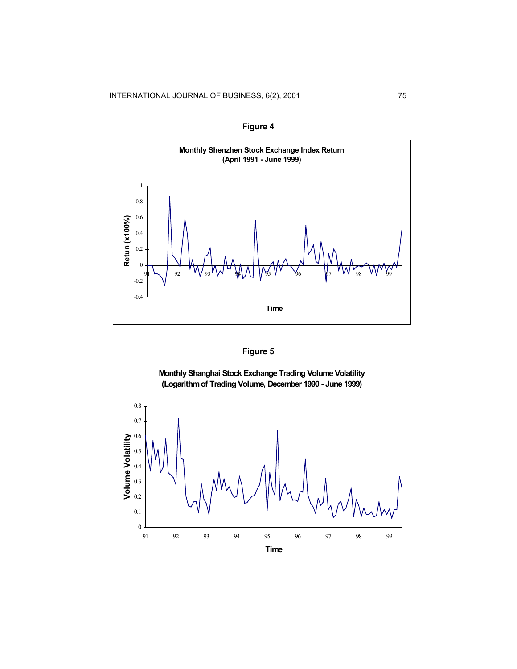**Figure 4** 





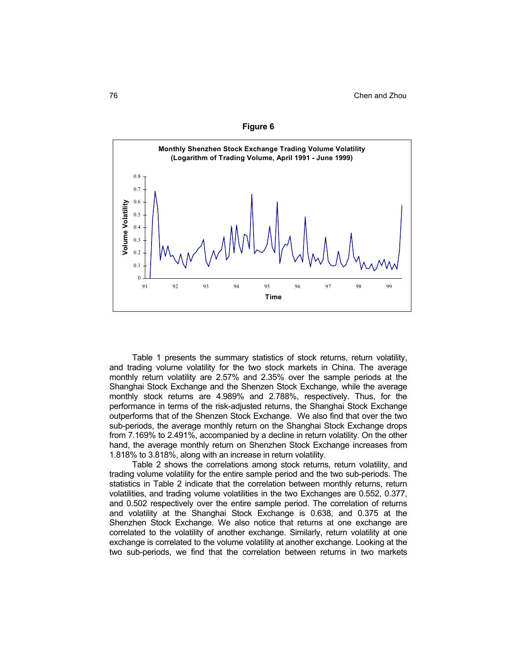



Table 1 presents the summary statistics of stock returns, return volatility, and trading volume volatility for the two stock markets in China. The average monthly return volatility are 2.57% and 2.35% over the sample periods at the Shanghai Stock Exchange and the Shenzen Stock Exchange, while the average monthly stock returns are 4.989% and 2.788%, respectively. Thus, for the performance in terms of the risk-adjusted returns, the Shanghai Stock Exchange outperforms that of the Shenzen Stock Exchange. We also find that over the two sub-periods, the average monthly return on the Shanghai Stock Exchange drops from 7.169% to 2.491%, accompanied by a decline in return volatility. On the other hand, the average monthly return on Shenzhen Stock Exchange increases from 1.818% to 3.818%, along with an increase in return volatility.

Table 2 shows the correlations among stock returns, return volatility, and trading volume volatility for the entire sample period and the two sub-periods. The statistics in Table 2 indicate that the correlation between monthly returns, return volatilities, and trading volume volatilities in the two Exchanges are 0.552, 0.377, and 0.502 respectively over the entire sample period. The correlation of returns and volatility at the Shanghai Stock Exchange is 0.638, and 0.375 at the Shenzhen Stock Exchange. We also notice that returns at one exchange are correlated to the volatility of another exchange. Similarly, return volatility at one exchange is correlated to the volume volatility at another exchange. Looking at the two sub-periods, we find that the correlation between returns in two markets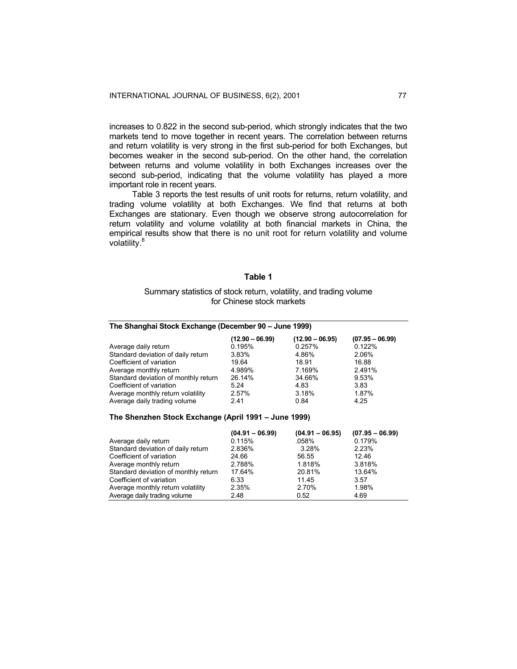increases to 0.822 in the second sub-period, which strongly indicates that the two markets tend to move together in recent years. The correlation between returns and return volatility is very strong in the first sub-period for both Exchanges, but becomes weaker in the second sub-period. On the other hand, the correlation between returns and volume volatility in both Exchanges increases over the second sub-period, indicating that the volume volatility has played a more important role in recent years.

Table 3 reports the test results of unit roots for returns, return volatility, and trading volume volatility at both Exchanges. We find that returns at both Exchanges are stationary. Even though we observe strong autocorrelation for return volatility and volume volatility at both financial markets in China, the empirical results show that there is no unit root for return volatility and volume volatility.<sup>8</sup>

#### **Table 1**

## Summary statistics of stock return, volatility, and trading volume for Chinese stock markets

| The Shanghai Stock Exchange (December 90 - June 1999) |                   |                   |                   |
|-------------------------------------------------------|-------------------|-------------------|-------------------|
|                                                       | $(12.90 - 06.99)$ | $(12.90 - 06.95)$ | $(07.95 - 06.99)$ |
| Average daily return                                  | 0.195%            | 0.257%            | 0.122%            |
| Standard deviation of daily return                    | 3.83%             | 4.86%             | 2.06%             |
| Coefficient of variation                              | 19.64             | 18.91             | 16.88             |
| Average monthly return                                | 4.989%            | 7.169%            | 2.491%            |
| Standard deviation of monthly return                  | 26.14%            | 34.66%            | 9.53%             |
| Coefficient of variation                              | 5.24              | 4.83              | 3.83              |
| Average monthly return volatility                     | 2.57%             | 3.18%             | 1.87%             |
| Average daily trading volume                          | 2.41              | 0.84              | 4.25              |

## **The Shenzhen Stock Exchange (April 1991 – June 1999)**

|                                      | $(04.91 - 06.99)$ | $(04.91 - 06.95)$ | $(07.95 - 06.99)$ |
|--------------------------------------|-------------------|-------------------|-------------------|
| Average daily return                 | 0.115%            | .058%             | 0.179%            |
| Standard deviation of daily return   | 2.836%            | 3.28%             | 2.23%             |
| Coefficient of variation             | 24.66             | 56.55             | 12.46             |
| Average monthly return               | 2.788%            | 1.818%            | 3.818%            |
| Standard deviation of monthly return | 17.64%            | 20.81%            | 13.64%            |
| Coefficient of variation             | 6.33              | 11.45             | 3.57              |
| Average monthly return volatility    | 2.35%             | 2.70%             | 1.98%             |
| Average daily trading volume         | 2.48              | 0.52              | 4.69              |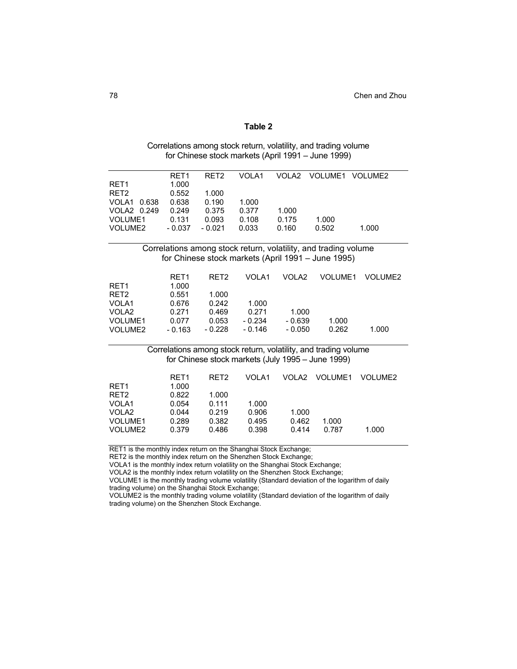| . .<br>. .<br>Ш |  |  |  |  |
|-----------------|--|--|--|--|
|-----------------|--|--|--|--|

| Correlations among stock return, volatility, and trading volume |  |
|-----------------------------------------------------------------|--|
| for Chinese stock markets (April 1991 – June 1999)              |  |

|                  | RET <sub>1</sub> | RET <sub>2</sub> | VOLA1    | VOLA2    | <b>VOLUME1</b>                                                  | VOLUME2        |
|------------------|------------------|------------------|----------|----------|-----------------------------------------------------------------|----------------|
| RET <sub>1</sub> | 1.000            |                  |          |          |                                                                 |                |
| RET <sub>2</sub> | 0.552            | 1.000            |          |          |                                                                 |                |
| VOLA1<br>0.638   | 0.638            | 0.190            | 1.000    |          |                                                                 |                |
| VOLA2 0.249      | 0.249            | 0.375            | 0.377    | 1.000    |                                                                 |                |
| VOLUME1          | 0.131            | 0.093            | 0.108    | 0.175    | 1.000                                                           |                |
| VOLUME2          | $-0.037$         | $-0.021$         | 0.033    | 0.160    | 0.502                                                           | 1.000          |
|                  |                  |                  |          |          | Correlations among stock return, volatility, and trading volume |                |
|                  |                  |                  |          |          | for Chinese stock markets (April 1991 - June 1995)              |                |
|                  | RET <sub>1</sub> | RET <sub>2</sub> | VOLA1    | VOLA2    | <b>VOLUME1</b>                                                  | <b>VOLUME2</b> |
| RET <sub>1</sub> | 1.000            |                  |          |          |                                                                 |                |
| RET <sub>2</sub> | 0.551            | 1.000            |          |          |                                                                 |                |
| VOLA1            | 0.676            | 0.242            | 1.000    |          |                                                                 |                |
| VOLA2            | 0.271            | 0.469            | 0.271    | 1.000    |                                                                 |                |
| <b>VOLUME1</b>   | 0.077            | 0.053            | - 0.234  | $-0.639$ | 1.000                                                           |                |
| VOLUME2          | $-0.163$         | $-0.228$         | $-0.146$ | $-0.050$ | 0.262                                                           | 1.000          |
|                  |                  |                  |          |          | Correlations among stock return, volatility, and trading volume |                |
|                  |                  |                  |          |          | for Chinese stock markets (July 1995 - June 1999)               |                |
|                  | RET <sub>1</sub> | RET <sub>2</sub> | VOLA1    | VOLA2    | VOLUME1                                                         | <b>VOLUME2</b> |
| RET <sub>1</sub> | 1.000            |                  |          |          |                                                                 |                |
| RET <sub>2</sub> | 0.822            | 1.000            |          |          |                                                                 |                |
| VOLA1            | 0.054            | 0.111            | 1.000    |          |                                                                 |                |
| VOLA2            | 0.044            | 0.219            | 0.906    | 1.000    |                                                                 |                |
| <b>VOLUME1</b>   | 0.289            | 0.382            | 0.495    | 0.462    | 1.000                                                           |                |
| VOLUME2          | 0.379            | 0.486            | 0.398    | 0.414    | 0.787                                                           | 1.000          |

RET1 is the monthly index return on the Shanghai Stock Exchange;

RET2 is the monthly index return on the Shenzhen Stock Exchange;

VOLA1 is the monthly index return volatility on the Shanghai Stock Exchange;

VOLA2 is the monthly index return volatility on the Shenzhen Stock Exchange;

VOLUME1 is the monthly trading volume volatility (Standard deviation of the logarithm of daily

trading volume) on the Shanghai Stock Exchange;

VOLUME2 is the monthly trading volume volatility (Standard deviation of the logarithm of daily trading volume) on the Shenzhen Stock Exchange.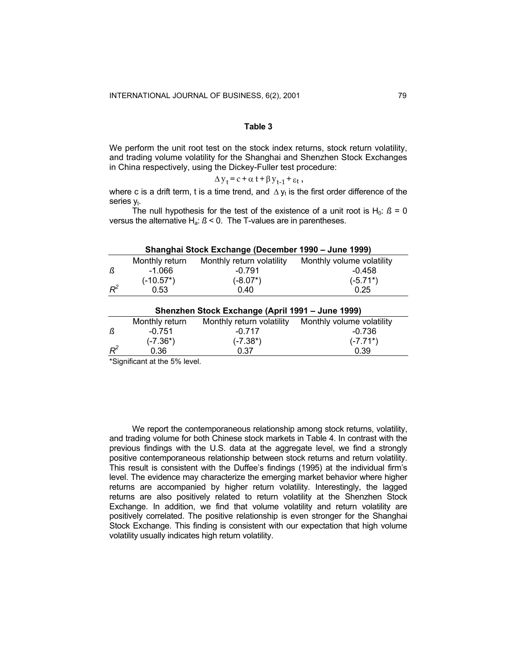We perform the unit root test on the stock index returns, stock return volatility, and trading volume volatility for the Shanghai and Shenzhen Stock Exchanges in China respectively, using the Dickey-Fuller test procedure:

$$
\Delta y_t = c + \alpha t + \beta y_{t-1} + \varepsilon_t,
$$

where c is a drift term, t is a time trend, and  $\Delta y_t$  is the first order difference of the series  $y_t$ .

The null hypothesis for the test of the existence of a unit root is  $H_0$ :  $\beta = 0$ versus the alternative Ha: *ß* < 0. The T-values are in parentheses.

|       |                | Shanghai Stock Exchange (December 1990 – June 1999) |                           |
|-------|----------------|-----------------------------------------------------|---------------------------|
|       | Monthly return | Monthly return volatility                           | Monthly volume volatility |
| ß     | $-1.066$       | $-0.791$                                            | $-0.458$                  |
|       | $(-10.57^*)$   | $(-8.07^*)$                                         | $(-5.71^*)$               |
| $R^2$ | 0.53           | 0.40                                                | 0.25                      |
|       |                | Shenzhen Stock Exchange (April 1991 – June 1999)    |                           |
|       | Monthly return | Monthly return volatility                           | Monthly volume volatility |
| ß     | $-0.751$       | $-0.717$                                            | $-0.736$                  |
|       | (-7.36*)       | $(-7.38^*)$                                         | $(-7.71^*)$               |
| $R^2$ | 0.36           | 0.37                                                | 0.39                      |

\*Significant at the 5% level.

We report the contemporaneous relationship among stock returns, volatility, and trading volume for both Chinese stock markets in Table 4. In contrast with the previous findings with the U.S. data at the aggregate level, we find a strongly positive contemporaneous relationship between stock returns and return volatility. This result is consistent with the Duffee's findings (1995) at the individual firm's level. The evidence may characterize the emerging market behavior where higher returns are accompanied by higher return volatility. Interestingly, the lagged returns are also positively related to return volatility at the Shenzhen Stock Exchange. In addition, we find that volume volatility and return volatility are positively correlated. The positive relationship is even stronger for the Shanghai Stock Exchange. This finding is consistent with our expectation that high volume volatility usually indicates high return volatility.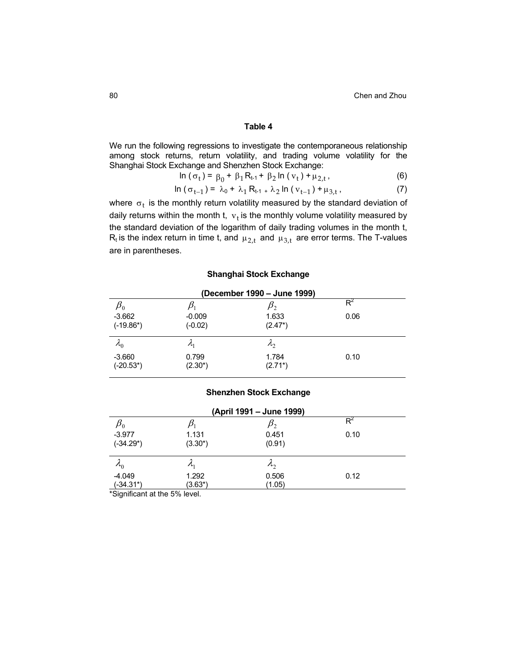We run the following regressions to investigate the contemporaneous relationship among stock returns, return volatility, and trading volume volatility for the Shanghai Stock Exchange and Shenzhen Stock Exchange:

$$
\ln (\sigma_t) = \beta_0 + \beta_1 R_{t-1} + \beta_2 \ln (v_t) + \mu_{2,t},
$$
 (6)

$$
\ln (\sigma_{t-1}) = \lambda_0 + \lambda_1 R_{t-1} + \lambda_2 \ln (v_{t-1}) + \mu_{3,t}, \qquad (7)
$$

where  $\sigma_t$  is the monthly return volatility measured by the standard deviation of daily returns within the month t,  $\mathbf{v}_t$  is the monthly volume volatility measured by the standard deviation of the logarithm of daily trading volumes in the month t,  $R_t$  is the index return in time t, and  $\mu_{2,t}$  and  $\mu_{3,t}$  are error terms. The T-values are in parentheses.

# **Shanghai Stock Exchange**

| (December 1990 - June 1999) |                 |                   |      |  |
|-----------------------------|-----------------|-------------------|------|--|
| $\mu_{0}$                   |                 | $\mu_{2}$         | Rʻ   |  |
| $-3.662$                    | $-0.009$        | 1.633             | 0.06 |  |
| $(-19.86*)$                 | $(-0.02)$       | $(2.47^*)$        |      |  |
| $\lambda_{0}$               | $\mathcal{A}_1$ | $\mathcal{A}_{2}$ |      |  |
| $-3.660$                    | 0.799           | 1.784             | 0.10 |  |
| $(-20.53^*)$                | $(2.30^*)$      | $(2.71^*)$        |      |  |

# **Shenzhen Stock Exchange**

| (April 1991 – June 1999)     |                   |               |      |
|------------------------------|-------------------|---------------|------|
| $\pmb{\beta}_0$              |                   |               | Rʻ   |
| $-3.977$                     | 1.131             | 0.451         | 0.10 |
| $(-34.29^*)$                 | $(3.30^*)$        | (0.91)        |      |
| $\lambda_{0}$                | $\mathcal{A}_{1}$ | $\lambda_{2}$ |      |
| $-4.049$                     | 1.292             | 0.506         | 0.12 |
| $(-34.31*)$<br>$\cdots$<br>. | (3.63*)<br>$-0.1$ | (1.05)        |      |

\*Significant at the 5% level.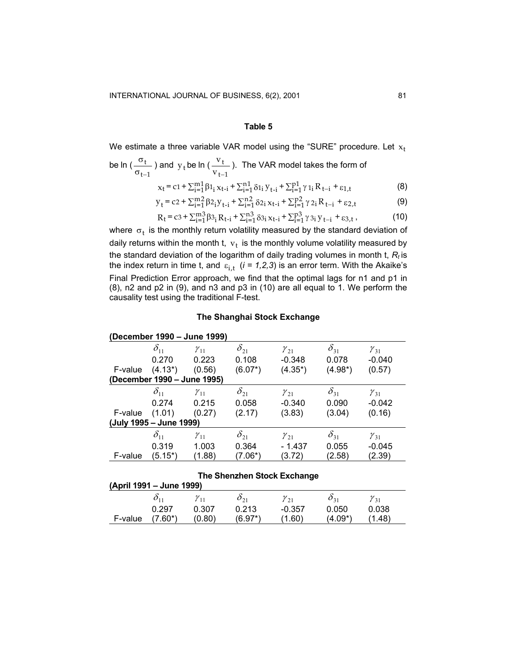We estimate a three variable VAR model using the "SURE" procedure. Let  $\mathrm{x_{t}}$ 

be 
$$
\ln\left(\frac{\sigma_t}{\sigma_{t-1}}\right)
$$
 and  $y_t$  be  $\ln\left(\frac{v_t}{v_{t-1}}\right)$ . The VAR model takes the form of

$$
x_{t} = c1 + \sum_{i=1}^{m1} \beta 1_{i} x_{t-i} + \sum_{i=1}^{n1} \delta 1_{i} y_{t-i} + \sum_{i=1}^{p1} \gamma 1_{i} R_{t-i} + \varepsilon 1_{,t}
$$
 (8)

$$
y_{t} = c2 + \sum_{i=1}^{m} \beta 2_{i} y_{t-i} + \sum_{i=1}^{n} \delta 2_{i} x_{t-i} + \sum_{i=1}^{p} \gamma 2_{i} R_{t-i} + \varepsilon 2_{i} t
$$
 (9)

$$
R_{t} = c_3 + \sum_{i=1}^{m3} \beta_{3i} R_{t-i} + \sum_{i=1}^{n3} \delta_{3i} x_{t-i} + \sum_{i=1}^{p3} \gamma_{3i} y_{t-i} + \varepsilon_{3,t},
$$
 (10)

where  $\sigma_t$  is the monthly return volatility measured by the standard deviation of daily returns within the month t,  $\mathbf{v}_t$  is the monthly volume volatility measured by the standard deviation of the logarithm of daily trading volumes in month t, *R <sup>t</sup>* is the index return in time t, and  $\varepsilon_{i,t}$  (*i* = 1,2,3) is an error term. With the Akaike's Final Prediction Error approach, we find that the optimal lags for n1 and p1 in (8), n2 and p2 in (9), and n3 and p3 in (10) are all equal to 1. We perform the causality test using the traditional F-test.

## **The Shanghai Stock Exchange**

|                          |               | (December 1990 - June 1999) |               |                             |               |               |
|--------------------------|---------------|-----------------------------|---------------|-----------------------------|---------------|---------------|
|                          | $\delta_{11}$ | $\gamma_{11}$               | $\delta_{21}$ | $\gamma_{21}$               | $\delta_{31}$ | $\gamma_{31}$ |
|                          | 0.270         | 0.223                       | 0.108         | $-0.348$                    | 0.078         | $-0.040$      |
| F-value                  | $(4.13^*)$    | (0.56)                      | $(6.07^*)$    | $(4.35^*)$                  | $(4.98*)$     | (0.57)        |
|                          |               | (December 1990 - June 1995) |               |                             |               |               |
|                          | $\delta_{11}$ | $\gamma_{11}$               | $\delta_{21}$ | $\gamma_{21}$               | $\delta_{31}$ | $\gamma_{31}$ |
|                          | 0.274         | 0.215                       | 0.058         | $-0.340$                    | 0.090         | $-0.042$      |
| F-value                  | (1.01)        | (0.27)                      | (2.17)        | (3.83)                      | (3.04)        | (0.16)        |
| (July 1995 – June 1999)  |               |                             |               |                             |               |               |
|                          | $\delta_{11}$ | $\gamma_{11}$               | $\delta_{21}$ | $\gamma_{21}$               | $\delta_{31}$ | $\gamma_{31}$ |
|                          | 0.319         | 1.003                       | 0.364         | $-1.437$                    | 0.055         | $-0.045$      |
| F-value                  | $(5.15^*)$    | (1.88)                      | (7.06*)       | (3.72)                      | (2.58)        | (2.39)        |
|                          |               |                             |               |                             |               |               |
|                          |               |                             |               | The Shenzhen Stock Exchange |               |               |
| (April 1991 – June 1999) |               |                             |               |                             |               |               |

|         | $\mu$ pul 1991 – Julie 1999) |          |          |          |                    |          |  |
|---------|------------------------------|----------|----------|----------|--------------------|----------|--|
|         |                              | $v_{11}$ | $O_{21}$ | $v_{21}$ | $\mathcal{O}_{21}$ | $v_{31}$ |  |
|         | 0.297                        | 0.307    | 0.213    | $-0.357$ | 0.050              | 0.038    |  |
| F-value | $(7.60^*)$                   | (0.80)   | (6.97*)  | (1.60    | (4.09*)            | .48)     |  |
|         |                              |          |          |          |                    |          |  |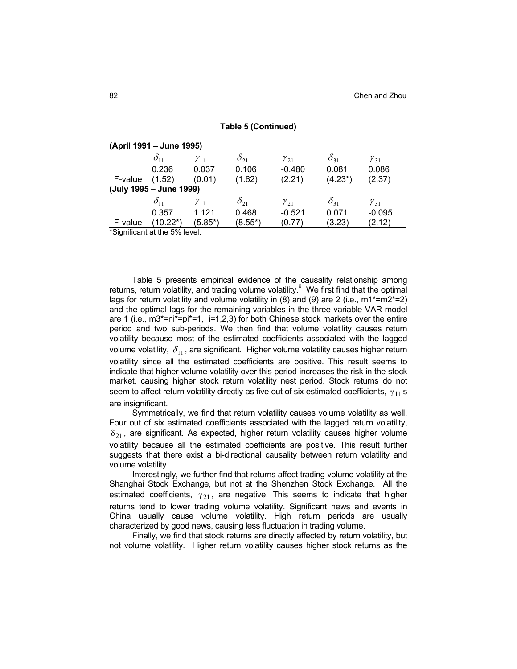|         | (April 1991 – June 1995)     |               |               |               |               |               |  |
|---------|------------------------------|---------------|---------------|---------------|---------------|---------------|--|
|         | $\delta_{11}$                | $\gamma_{11}$ | $\delta_{21}$ | $\gamma_{21}$ | $\delta_{31}$ | $\gamma_{31}$ |  |
|         | 0.236                        | 0.037         | 0.106         | $-0.480$      | 0.081         | 0.086         |  |
| F-value | (1.52)                       | (0.01)        | (1.62)        | (2.21)        | $(4.23^*)$    | (2.37)        |  |
|         | (July 1995 – June 1999)      |               |               |               |               |               |  |
|         | $\delta_{11}$                | $\gamma_{11}$ | $\delta_{21}$ | $\gamma_{21}$ | $\delta_{31}$ | $\gamma_{31}$ |  |
|         | 0.357                        | 1.121         | 0.468         | $-0.521$      | 0.071         | $-0.095$      |  |
| F-value | (10.22*)                     | $(5.85*)$     | $(8.55*)$     | (0.77)        | (3.23)        | (2.12)        |  |
|         | *Significant at the 5% level |               |               |               |               |               |  |

**Table 5 (Continued)** 

Significant at the 5% level.

Table 5 presents empirical evidence of the causality relationship among returns, return volatility, and trading volume volatility.<sup>9</sup> We first find that the optimal lags for return volatility and volume volatility in (8) and (9) are 2 (i.e., m1<sup>\*</sup>=m2<sup>\*</sup>=2) and the optimal lags for the remaining variables in the three variable VAR model are 1 (i.e.,  $m3^*$ =ni\*=pi\*=1, i=1,2,3) for both Chinese stock markets over the entire period and two sub-periods. We then find that volume volatility causes return volatility because most of the estimated coefficients associated with the lagged volume volatility,  $\delta_{11}$ , are significant. Higher volume volatility causes higher return volatility since all the estimated coefficients are positive. This result seems to indicate that higher volume volatility over this period increases the risk in the stock market, causing higher stock return volatility nest period. Stock returns do not seem to affect return volatility directly as five out of six estimated coefficients,  $\gamma_{11}$  s are insignificant.

Symmetrically, we find that return volatility causes volume volatility as well. Four out of six estimated coefficients associated with the lagged return volatility,  $\delta_{21}$ , are significant. As expected, higher return volatility causes higher volume volatility because all the estimated coefficients are positive. This result further suggests that there exist a bi-directional causality between return volatility and volume volatility.

Interestingly, we further find that returns affect trading volume volatility at the Shanghai Stock Exchange, but not at the Shenzhen Stock Exchange. All the estimated coefficients,  $\gamma_{21}$ , are negative. This seems to indicate that higher returns tend to lower trading volume volatility. Significant news and events in China usually cause volume volatility. High return periods are usually characterized by good news, causing less fluctuation in trading volume.

Finally, we find that stock returns are directly affected by return volatility, but not volume volatility. Higher return volatility causes higher stock returns as the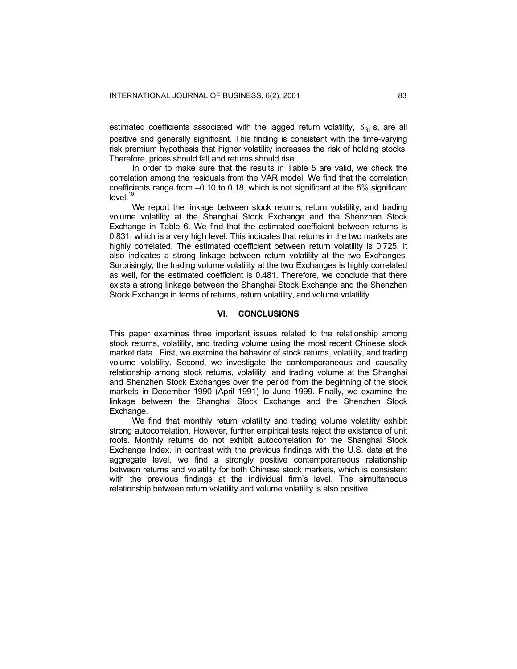estimated coefficients associated with the lagged return volatility,  $\delta_{31}$  s, are all positive and generally significant. This finding is consistent with the time-varying risk premium hypothesis that higher volatility increases the risk of holding stocks. Therefore, prices should fall and returns should rise.

In order to make sure that the results in Table 5 are valid, we check the correlation among the residuals from the VAR model. We find that the correlation coefficients range from –0.10 to 0.18, which is not significant at the 5% significant  $level<sup>10</sup>$ 

We report the linkage between stock returns, return volatility, and trading volume volatility at the Shanghai Stock Exchange and the Shenzhen Stock Exchange in Table 6. We find that the estimated coefficient between returns is 0.831, which is a very high level. This indicates that returns in the two markets are highly correlated. The estimated coefficient between return volatility is 0.725. It also indicates a strong linkage between return volatility at the two Exchanges. Surprisingly, the trading volume volatility at the two Exchanges is highly correlated as well, for the estimated coefficient is 0.481. Therefore, we conclude that there exists a strong linkage between the Shanghai Stock Exchange and the Shenzhen Stock Exchange in terms of returns, return volatility, and volume volatility.

## **VI. CONCLUSIONS**

This paper examines three important issues related to the relationship among stock returns, volatility, and trading volume using the most recent Chinese stock market data. First, we examine the behavior of stock returns, volatility, and trading volume volatility. Second, we investigate the contemporaneous and causality relationship among stock returns, volatility, and trading volume at the Shanghai and Shenzhen Stock Exchanges over the period from the beginning of the stock markets in December 1990 (April 1991) to June 1999. Finally, we examine the linkage between the Shanghai Stock Exchange and the Shenzhen Stock Exchange.

We find that monthly return volatility and trading volume volatility exhibit strong autocorrelation. However, further empirical tests reject the existence of unit roots. Monthly returns do not exhibit autocorrelation for the Shanghai Stock Exchange Index. In contrast with the previous findings with the U.S. data at the aggregate level, we find a strongly positive contemporaneous relationship between returns and volatility for both Chinese stock markets, which is consistent with the previous findings at the individual firm's level. The simultaneous relationship between return volatility and volume volatility is also positive.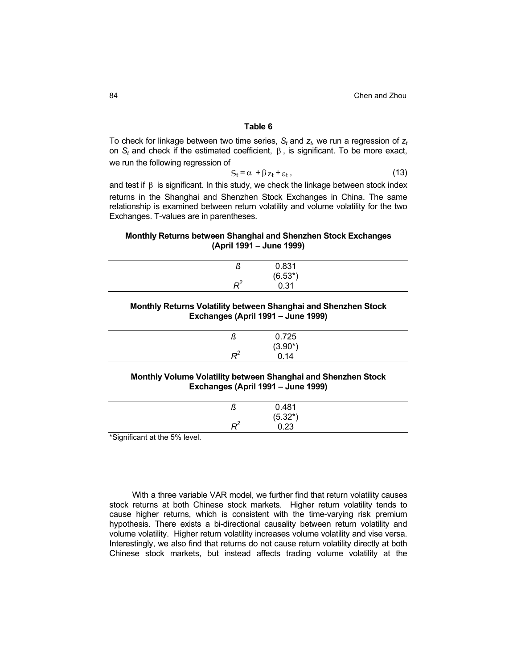To check for linkage between two time series,  $S_t$  and  $Z_t$ , we run a regression of  $Z_t$ on *St* and check if the estimated coefficient, β , is significant. To be more exact, we run the following regression of

$$
S_t = \alpha + \beta z_t + \varepsilon_t, \qquad (13)
$$

and test if  $\beta$  is significant. In this study, we check the linkage between stock index returns in the Shanghai and Shenzhen Stock Exchanges in China. The same relationship is examined between return volatility and volume volatility for the two Exchanges. T-values are in parentheses.

## **Monthly Returns between Shanghai and Shenzhen Stock Exchanges (April 1991 – June 1999)**

| د، | 0.831             |
|----|-------------------|
|    | $(6.53*)$<br>0.31 |
|    |                   |

# **Monthly Returns Volatility between Shanghai and Shenzhen Stock Exchanges (April 1991 – June 1999)**

| w | 0.725      |
|---|------------|
|   | $(3.90^*)$ |
| − | 0.14       |

## **Monthly Volume Volatility between Shanghai and Shenzhen Stock Exchanges (April 1991 – June 1999)**

| د، | 0.481              |  |
|----|--------------------|--|
|    | $(5.32^*)$<br>0.23 |  |
| n- |                    |  |

\*Significant at the 5% level.

With a three variable VAR model, we further find that return volatility causes stock returns at both Chinese stock markets. Higher return volatility tends to cause higher returns, which is consistent with the time-varying risk premium hypothesis. There exists a bi-directional causality between return volatility and volume volatility. Higher return volatility increases volume volatility and vise versa. Interestingly, we also find that returns do not cause return volatility directly at both Chinese stock markets, but instead affects trading volume volatility at the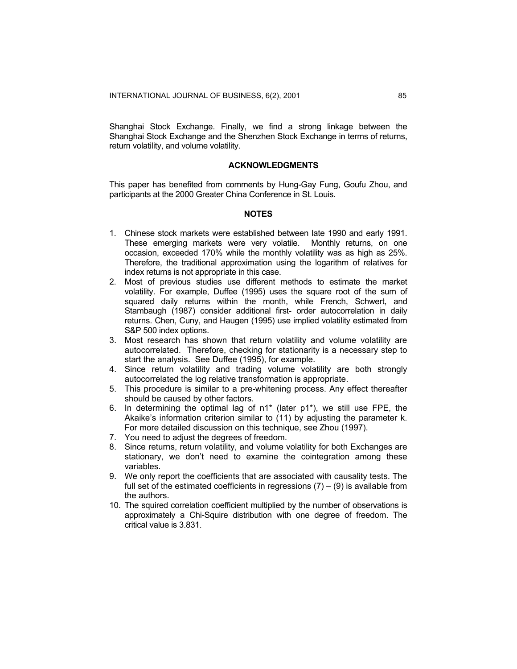Shanghai Stock Exchange. Finally, we find a strong linkage between the Shanghai Stock Exchange and the Shenzhen Stock Exchange in terms of returns, return volatility, and volume volatility.

# **ACKNOWLEDGMENTS**

This paper has benefited from comments by Hung-Gay Fung, Goufu Zhou, and participants at the 2000 Greater China Conference in St. Louis.

# **NOTES**

- 1. Chinese stock markets were established between late 1990 and early 1991. These emerging markets were very volatile. Monthly returns, on one occasion, exceeded 170% while the monthly volatility was as high as 25%. Therefore, the traditional approximation using the logarithm of relatives for index returns is not appropriate in this case.
- 2. Most of previous studies use different methods to estimate the market volatility. For example, Duffee (1995) uses the square root of the sum of squared daily returns within the month, while French, Schwert, and Stambaugh (1987) consider additional first- order autocorrelation in daily returns. Chen, Cuny, and Haugen (1995) use implied volatility estimated from S&P 500 index options.
- 3. Most research has shown that return volatility and volume volatility are autocorrelated. Therefore, checking for stationarity is a necessary step to start the analysis. See Duffee (1995), for example.
- 4. Since return volatility and trading volume volatility are both strongly autocorrelated the log relative transformation is appropriate.
- 5. This procedure is similar to a pre-whitening process. Any effect thereafter should be caused by other factors.
- 6. In determining the optimal lag of  $n1^*$  (later  $p1^*$ ), we still use FPE, the Akaike's information criterion similar to (11) by adjusting the parameter k. For more detailed discussion on this technique, see Zhou (1997).
- 7. You need to adjust the degrees of freedom.
- 8. Since returns, return volatility, and volume volatility for both Exchanges are stationary, we don't need to examine the cointegration among these variables.
- 9. We only report the coefficients that are associated with causality tests. The full set of the estimated coefficients in regressions  $(7) - (9)$  is available from the authors.
- 10. The squired correlation coefficient multiplied by the number of observations is approximately a Chi-Squire distribution with one degree of freedom. The critical value is 3.831.